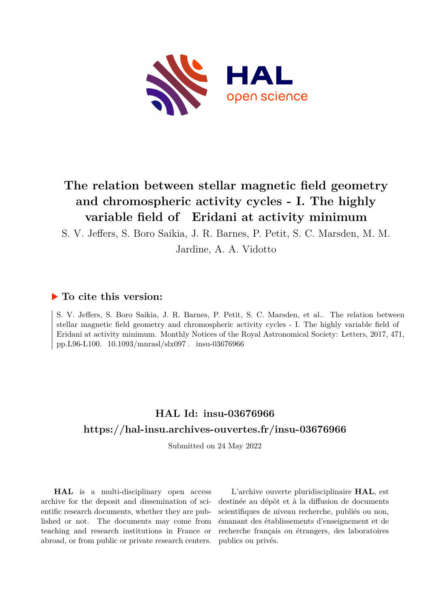

# **The relation between stellar magnetic field geometry and chromospheric activity cycles - I. The highly variable field of Eridani at activity minimum**

S. V. Jeffers, S. Boro Saikia, J. R. Barnes, P. Petit, S. C. Marsden, M. M.

Jardine, A. A. Vidotto

## **To cite this version:**

S. V. Jeffers, S. Boro Saikia, J. R. Barnes, P. Petit, S. C. Marsden, et al.. The relation between stellar magnetic field geometry and chromospheric activity cycles - I. The highly variable field of Eridani at activity minimum. Monthly Notices of the Royal Astronomical Society: Letters, 2017, 471, pp.L96-L100.  $10.1093/mnrasl/slx097$ . insu-03676966

# **HAL Id: insu-03676966 <https://hal-insu.archives-ouvertes.fr/insu-03676966>**

Submitted on 24 May 2022

**HAL** is a multi-disciplinary open access archive for the deposit and dissemination of scientific research documents, whether they are published or not. The documents may come from teaching and research institutions in France or abroad, or from public or private research centers.

L'archive ouverte pluridisciplinaire **HAL**, est destinée au dépôt et à la diffusion de documents scientifiques de niveau recherche, publiés ou non, émanant des établissements d'enseignement et de recherche français ou étrangers, des laboratoires publics ou privés.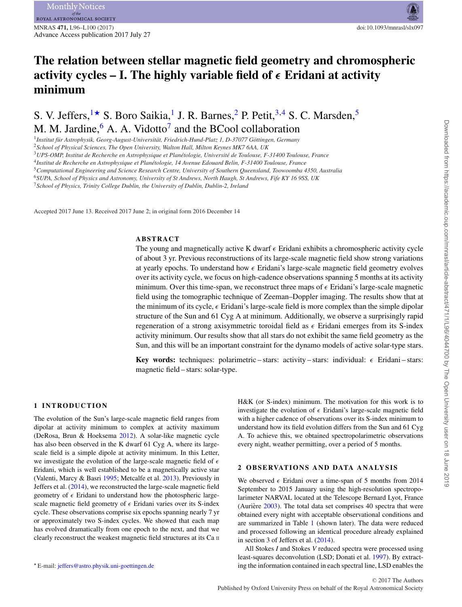# **The relation between stellar magnetic field geometry and chromospheric activity cycles – I. The highly variable field of** *-* **Eridani at activity minimum**

S. V. Jeffers,  $1\star$  $1\star$  S. Boro Saikia,<sup>1</sup> J. R. Barnes, <sup>[2](#page-1-2)</sup> P. Petit, <sup>[3,](#page-1-3)[4](#page-1-4)</sup> S. C. Marsden, <sup>[5](#page-1-5)</sup> M. M. Jardine,  $6$  A. A. Vidotto<sup>7</sup> and the BCool collaboration

<span id="page-1-0"></span><sup>1</sup>Institut für Astrophysik, Georg-August-Universität, Friedrich-Hund-Platz 1, D-37077 Göttingen, Germany

<span id="page-1-2"></span><sup>2</sup>*School of Physical Sciences, The Open University, Walton Hall, Milton Keynes MK7 6AA, UK*

<span id="page-1-3"></span><sup>3</sup>*UPS-OMP, Institut de Recherche en Astrophysique et Planetologie, Universit ´ e de Toulouse, F-31400 Toulouse, France ´*

<span id="page-1-4"></span><sup>4</sup>*Institut de Recherche en Astrophysique et Planetologie, 14 Avenue Edouard Belin, F-31400 Toulouse, France ´*

<span id="page-1-5"></span><sup>5</sup>*Computational Engineering and Science Research Centre, University of Southern Queensland, Toowoomba 4350, Australia*

<span id="page-1-6"></span><sup>6</sup>*SUPA, School of Physics and Astronomy, University of St Andrews, North Haugh, St Andrews, Fife KY 16 9SS, UK*

<span id="page-1-7"></span><sup>7</sup>*School of Physics, Trinity College Dublin, the University of Dublin, Dublin-2, Ireland*

Accepted 2017 June 13. Received 2017 June 2; in original form 2016 December 14

#### **ABSTRACT**

The young and magnetically active K dwarf  $\epsilon$  Eridani exhibits a chromospheric activity cycle of about 3 yr. Previous reconstructions of its large-scale magnetic field show strong variations at yearly epochs. To understand how  $\epsilon$  Eridani's large-scale magnetic field geometry evolves over its activity cycle, we focus on high-cadence observations spanning 5 months at its activity minimum. Over this time-span, we reconstruct three maps of  $\epsilon$  Eridani's large-scale magnetic field using the tomographic technique of Zeeman–Doppler imaging. The results show that at the minimum of its cycle,  $\epsilon$  Eridani's large-scale field is more complex than the simple dipolar structure of the Sun and 61 Cyg A at minimum. Additionally, we observe a surprisingly rapid regeneration of a strong axisymmetric toroidal field as  $\epsilon$  Eridani emerges from its S-index activity minimum. Our results show that all stars do not exhibit the same field geometry as the Sun, and this will be an important constraint for the dynamo models of active solar-type stars.

**Key words:** techniques: polarimetric - stars: activity - stars: individual:  $\epsilon$  Eridani - stars: magnetic field – stars: solar-type.

#### **1 INTRODUCTION**

The evolution of the Sun's large-scale magnetic field ranges from dipolar at activity minimum to complex at activity maximum (DeRosa, Brun & Hoeksema [2012\)](#page-5-0). A solar-like magnetic cycle has also been observed in the K dwarf 61 Cyg A, where its largescale field is a simple dipole at activity minimum. In this Letter, we investigate the evolution of the large-scale magnetic field of  $\epsilon$ Eridani, which is well established to be a magnetically active star (Valenti, Marcy & Basri [1995;](#page-5-1) Metcalfe et al. [2013\)](#page-5-2). Previously in Jeffers et al. [\(2014\)](#page-5-3), we reconstructed the large-scale magnetic field geometry of  $\epsilon$  Eridani to understand how the photospheric largescale magnetic field geometry of  $\epsilon$  Eridani varies over its S-index cycle. These observations comprise six epochs spanning nearly 7 yr or approximately two S-index cycles. We showed that each map has evolved dramatically from one epoch to the next, and that we clearly reconstruct the weakest magnetic field structures at its Ca II

<span id="page-1-1"></span>E-mail: [jeffers@astro.physik.uni-goettingen.de](mailto:jeffers@astro.physik.uni-goettingen.de)

H&K (or S-index) minimum. The motivation for this work is to investigate the evolution of  $\epsilon$  Eridani's large-scale magnetic field with a higher cadence of observations over its S-index minimum to understand how its field evolution differs from the Sun and 61 Cyg A. To achieve this, we obtained spectropolarimetric observations every night, weather permitting, over a period of 5 months.

#### **2 OBSERVATIONS AND DATA ANALYSIS**

We observed  $\epsilon$  Eridani over a time-span of 5 months from 2014 September to 2015 January using the high-resolution spectropolarimeter NARVAL located at the Telescope Bernard Lyot, France (Aurière  $2003$ ). The total data set comprises 40 spectra that were obtained every night with acceptable observational conditions and are summarized in Table [1](#page-2-0) (shown later). The data were reduced and processed following an identical procedure already explained in section 3 of Jeffers et al. [\(2014\)](#page-5-3).

All Stokes *I* and Stokes *V* reduced spectra were processed using least-squares deconvolution (LSD; Donati et al. [1997\)](#page-5-5). By extracting the information contained in each spectral line, LSD enables the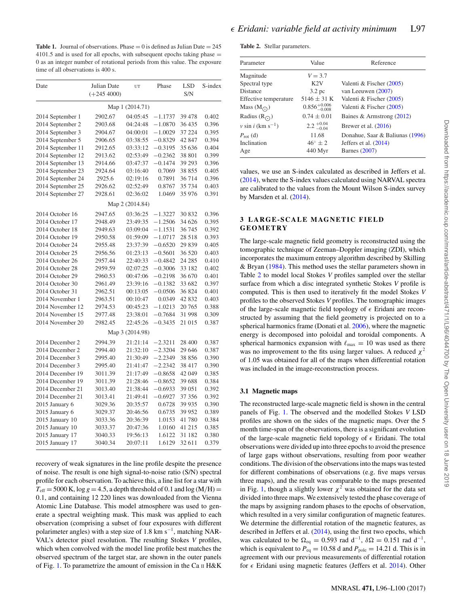<span id="page-2-0"></span>**Table 1.** Journal of observations. Phase  $= 0$  is defined as Julian Date  $= 245$  $4101.5$  and is used for all epochs, with subsequent epochs taking phase  $=$ 0 as an integer number of rotational periods from this value. The exposure time of all observations is 400 s.

| Date              | Julian Date<br>UT<br>$(+245\,4000)$ |                 | Phase     | <b>LSD</b><br>S/N | S-index |  |  |  |
|-------------------|-------------------------------------|-----------------|-----------|-------------------|---------|--|--|--|
| Map 1 (2014.71)   |                                     |                 |           |                   |         |  |  |  |
| 2014 September 1  | 2902.67                             | 04:05:45        | $-1.1737$ | 39 4 78           | 0.402   |  |  |  |
| 2014 September 2  | 2903.68                             | 04:24:48        | $-1.0870$ | 36 435            | 0.396   |  |  |  |
| 2014 September 3  | 2904.67                             | 04:00:01        | $-1.0029$ | 37 224            | 0.395   |  |  |  |
| 2014 September 5  | 2906.65                             | 03:38:55        | $-0.8329$ | 42 847            | 0.394   |  |  |  |
| 2014 September 11 | 2912.65                             | 03:33:12        | $-0.3195$ | 35 636            | 0.404   |  |  |  |
| 2014 September 12 | 2913.62                             | 02:53:49        | $-0.2362$ | 38 801            | 0.399   |  |  |  |
| 2014 September 13 | 2914.66                             | 03:47:37        | $-0.1474$ | 39 29 3           | 0.396   |  |  |  |
| 2014 September 23 | 2924.64                             | 03:16:40        | 0.7069    | 38 855            | 0.405   |  |  |  |
| 2014 September 24 | 2925.6                              | 02:19:16        | 0.7891    | 36 714            | 0.396   |  |  |  |
| 2014 September 25 | 2926.62                             | 02:52:49        | 0.8767    | 35 734            | 0.403   |  |  |  |
| 2014 September 27 | 2928.61                             | 02:36:02        | 1.0469    | 35 976            | 0.391   |  |  |  |
|                   |                                     | Map 2 (2014.84) |           |                   |         |  |  |  |
| 2014 October 16   | 2947.65                             | 03:36:25        | $-1.3227$ | 30 832            | 0.396   |  |  |  |
| 2014 October 17   | 2948.49                             | 23:49:35        | $-1.2506$ | 34 626            | 0.395   |  |  |  |
| 2014 October 18   | 2949.63                             | 03:09:04        | $-1.1531$ | 36 745            | 0.392   |  |  |  |
| 2014 October 19   | 2950.58                             | 01:59:09        | $-1.0717$ | 28 5 18           | 0.393   |  |  |  |
| 2014 October 24   | 2955.48                             | 23:37:39        | $-0.6520$ | 29 839            | 0.405   |  |  |  |
| 2014 October 25   | 2956.56                             | 01:23:13        | $-0.5601$ | 36 520            | 0.403   |  |  |  |
| 2014 October 26   | 2957.44                             | 22:40:33        | $-0.4842$ | 24 285            | 0.410   |  |  |  |
| 2014 October 28   | 2959.59                             | 02:07:25        | $-0.3006$ | 33 182            | 0.402   |  |  |  |
| 2014 October 29   | 2960.53                             | 00:47:06        | $-0.2198$ | 36 670            | 0.401   |  |  |  |
| 2014 October 30   | 2961.49                             | 23:39:16        | $-0.1382$ | 33 682            | 0.397   |  |  |  |
| 2014 October 31   | 2962.51                             | 00:13:05        | $-0.0506$ | 36 824            | 0.401   |  |  |  |
| 2014 November 1   | 2963.51                             | 00:10:47        | 0.0349    | 42 832            | 0.403   |  |  |  |
| 2014 November 12  | 2974.53                             | 00:45:23        | $-1.0213$ | 20 765            | 0.388   |  |  |  |
| 2014 November 15  | 2977.48                             | 23:38:01        | $-0.7684$ | 31 998            | 0.309   |  |  |  |
| 2014 November 20  | 2982.45                             | 22:45:26        | $-0.3435$ | 21 015            | 0.387   |  |  |  |
|                   |                                     | Map 3 (2014.98) |           |                   |         |  |  |  |
| 2014 December 2   | 2994.39                             | 21:21:14        | $-2.3211$ | 28 400            | 0.387   |  |  |  |
| 2014 December 2   | 2994.40                             | 21:32:10        | $-2.3204$ | 29 646            | 0.387   |  |  |  |
| 2014 December 3   | 2995.40                             | 21:30:49        | $-2.2349$ | 38 856            | 0.390   |  |  |  |
| 2014 December 3   | 2995.40                             | 21:41:47        | $-2.2342$ | 38 417            | 0.390   |  |  |  |
| 2014 December 19  | 3011.39                             | 21:17:49        | $-0.8658$ | 42 049            | 0.385   |  |  |  |
| 2014 December 19  | 3011.39                             | 21:28:46        | $-0.8652$ | 39 688            | 0.384   |  |  |  |
| 2014 December 21  | 3013.40                             | 21:38:44        | $-0.6933$ | 39 051            | 0.392   |  |  |  |
| 2014 December 21  | 3013.41                             | 21:49:41        | $-0.6927$ | 37 356            | 0.392   |  |  |  |
| 2015 January 6    | 3029.36                             | 20:35:57        | 0.6728    | 39 9 35           | 0.390   |  |  |  |
| 2015 January 6    | 3029.37                             | 20:46:56        | 0.6735    | 39 952            | 0.389   |  |  |  |
| 2015 January 10   | 3033.36                             | 20:36:39        | 1.0153    | 41780             | 0.384   |  |  |  |
| 2015 January 10   | 3033.37                             | 20:47:36        | 1.0160    | 41 215            | 0.385   |  |  |  |
| 2015 January 17   | 3040.33                             | 19:56:13        | 1.6122    | 31 182            | 0.380   |  |  |  |
| 2015 January 17   | 3040.34                             | 20:07:11        | 1.6129    | 32 611            | 0.379   |  |  |  |

recovery of weak signatures in the line profile despite the presence of noise. The result is one high signal-to-noise ratio (S/N) spectral profile for each observation. To achieve this, a line list for a star with  $T_{\text{eff}}$  = 5000 K,  $\log g$  = 4.5, a depth threshold of 0.1 and  $\log (M/H)$  = 0.1, and containing 12 220 lines was downloaded from the Vienna Atomic Line Database. This model atmosphere was used to generate a spectral weighting mask. This mask was applied to each observation (comprising a subset of four exposures with different polarimeter angles) with a step size of 1.8 km s<sup> $-1$ </sup>, matching NAR-VAL's detector pixel resolution. The resulting Stokes *V* profiles, which when convolved with the model line profile best matches the observed spectrum of the target star, are shown in the outer panels of Fig. [1.](#page-4-0) To parametrize the amount of emission in the Ca  $\scriptstyle\rm II$  H&K

<span id="page-2-1"></span>**Table 2.** Stellar parameters.

| Parameter                        | Value                     | Reference                       |  |  |  |  |
|----------------------------------|---------------------------|---------------------------------|--|--|--|--|
| Magnitude                        | $V = 3.7$                 |                                 |  |  |  |  |
| Spectral type                    | K2V                       | Valenti & Fischer (2005)        |  |  |  |  |
| Distance                         | 3.2~pc                    | van Leeuwen (2007)              |  |  |  |  |
| Effective temperature            | $5146 \pm 31$ K           | Valenti & Fischer (2005)        |  |  |  |  |
| Mass $(M_{\odot})$               | $0.856^{+0.006}_{-0.008}$ | Valenti & Fischer (2005)        |  |  |  |  |
| Radius $(RO)$                    | $0.74 \pm 0.01$           | Baines & Armstrong $(2012)$     |  |  |  |  |
| $v \sin i$ (km s <sup>-1</sup> ) | $2.2^{+0.04}_{-0.04}$     | Brewer et al. $(2016)$          |  |  |  |  |
| $P_{\rm rot}$ (d)                | 11.68                     | Donahue, Saar & Baliunas (1996) |  |  |  |  |
| Inclination                      | $46^{\circ} \pm 2$        | Jeffers et al. $(2014)$         |  |  |  |  |
| Age                              | 440 Myr                   | Barnes (2007)                   |  |  |  |  |

values, we use an S-index calculated as described in Jeffers et al. [\(2014\)](#page-5-3), where the S-index values calculated using NARVAL spectra are calibrated to the values from the Mount Wilson S-index survey by Marsden et al. [\(2014\)](#page-5-12).

#### **3 LARGE-SCALE MAGNETIC FIELD GEOMETRY**

The large-scale magnetic field geometry is reconstructed using the tomographic technique of Zeeman–Doppler imaging (ZDI), which incorporates the maximum entropy algorithm described by Skilling & Bryan [\(1984\)](#page-5-13). This method uses the stellar parameters shown in Table [2](#page-2-1) to model local Stokes *V* profiles sampled over the stellar surface from which a disc integrated synthetic Stokes *V* profile is computed. This is then used to iteratively fit the model Stokes *V* profiles to the observed Stokes *V* profiles. The tomographic images of the large-scale magnetic field topology of  $\epsilon$  Eridani are reconstructed by assuming that the field geometry is projected on to a spherical harmonics frame (Donati et al. [2006\)](#page-5-14), where the magnetic energy is decomposed into poloidal and toroidal components. A spherical harmonics expansion with  $\ell_{\text{max}} = 10$  was used as there was no improvement to the fits using larger values. A reduced  $\chi^2$ of 1.05 was obtained for all of the maps when differential rotation was included in the image-reconstruction process.

#### **3.1 Magnetic maps**

The reconstructed large-scale magnetic field is shown in the central panels of Fig. [1.](#page-4-0) The observed and the modelled Stokes *V* LSD profiles are shown on the sides of the magnetic maps. Over the 5 month time-span of the observations, there is a significant evolution of the large-scale magnetic field topology of  $\epsilon$  Eridani. The total observations were divided up into three epochs to avoid the presence of large gaps without observations, resulting from poor weather conditions. The division of the observations into the maps was tested for different combinations of observations (e.g. five maps versus three maps), and the result was comparable to the maps presented in Fig. [1,](#page-4-0) though a slightly lower  $\chi^2$  was obtained for the data set divided into three maps. We extensively tested the phase coverage of the maps by assigning random phases to the epochs of observation, which resulted in a very similar configuration of magnetic features. We determine the differential rotation of the magnetic features, as described in Jeffers et al. [\(2014\)](#page-5-3), using the first two epochs, which was calculated to be  $\Omega_{eq} = 0.593$  rad d<sup>-1</sup>,  $\delta \Omega = 0.151$  rad d<sup>-1</sup>, which is equivalent to  $P_{eq} = 10.58$  d and  $P_{pole} = 14.21$  d. This is in agreement with our previous measurements of differential rotation for  $\epsilon$  Eridani using magnetic features (Jeffers et al. [2014\)](#page-5-3). Other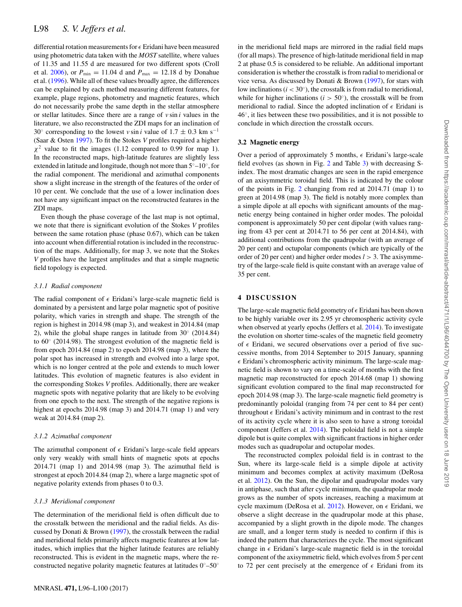differential rotation measurements for  $\epsilon$  Eridani have been measured using photometric data taken with the *MOST* satellite, where values of 11.35 and 11.55 d are measured for two different spots (Croll et al. [2006\)](#page-5-15), or  $P_{\text{min}} = 11.04$  d and  $P_{\text{max}} = 12.18$  d by Donahue et al. [\(1996\)](#page-5-10). While all of these values broadly agree, the differences can be explained by each method measuring different features, for example, plage regions, photometry and magnetic features, which do not necessarily probe the same depth in the stellar atmosphere or stellar latitudes. Since there are a range of *v* sin *i* values in the literature, we also reconstructed the ZDI maps for an inclination of 30 $\degree$  corresponding to the lowest *v* sin *i* value of 1.7 ± 0.3 km s<sup>−1</sup> (Saar & Osten [1997\)](#page-5-16). To fit the Stokes *V* profiles required a higher  $\chi^2$  value to fit the images (1.12 compared to 0.99 for map 1). In the reconstructed maps, high-latitude features are slightly less extended in latitude and longitude, though not more than 5◦–10◦, for the radial component. The meridional and azimuthal components show a slight increase in the strength of the features of the order of 10 per cent. We conclude that the use of a lower inclination does not have any significant impact on the reconstructed features in the ZDI maps.

Even though the phase coverage of the last map is not optimal, we note that there is significant evolution of the Stokes *V* profiles between the same rotation phase (phase 0.67), which can be taken into account when differential rotation is included in the reconstruction of the maps. Additionally, for map 3, we note that the Stokes *V* profiles have the largest amplitudes and that a simple magnetic field topology is expected.

#### *3.1.1 Radial component*

The radia[l](#page-4-0) component of  $\epsilon$  Eridani's large-scale magnetic field is dominated by a persistent and large polar magnetic spot of positive polarity, which varies in strength and shape. The strength of the region is highest in 2014.98 (map 3), and weakest in 2014.84 (map 2), while the global shape ranges in latitude from 30◦ (2014.84) to 60◦ (2014.98). The strongest evolution of the magnetic field is from epoch 2014.84 (map 2) to epoch 2014.98 (map 3), where the polar spot has increased in strength and evolved into a large spot, which is no longer centred at the pole and extends to much lower latitudes. This evolution of magnetic features is also evident in the corresponding Stokes *V* profiles. Additionally, there are weaker magnetic spots with negative polarity that are likely to be evolving from one epoch to the next. The strength of the negative regions is highest at epochs 2014.98 (map 3) and 2014.71 (map 1) and very weak at 2014.84 (map 2).

#### *3.1.2 Azimuthal component*

The azimuthal component of  $\epsilon$  Eridani's large-scale field appears only very weakly with small hints of magnetic spots at epochs 2014.71 (map 1) and 2014.98 (map 3). The azimuthal field is strongest at epoch 2014.84 (map 2), where a large magnetic spot of negative polarity extends from phases 0 to 0.3.

#### *3.1.3 Meridional component*

The determination of the meridional field is often difficult due to the crosstalk between the meridional and the radial fields. As discussed by Donati & Brown [\(1997\)](#page-5-17), the crosstalk between the radial and meridional fields primarily affects magnetic features at low latitudes, which implies that the higher latitude features are reliably reconstructed. This is evident in the magnetic maps, where the reconstructed negative polarity magnetic features at latitudes 0◦–50◦

in the meridional field maps are mirrored in the radial field maps (for all maps). The presence of high-latitude meridional field in map 2 at phase 0.5 is considered to be reliable. An additional important consideration is whether the crosstalk is from radial to meridional or vice versa. As discussed by Donati & Brown [\(1997\)](#page-5-17), for stars with low inclinations ( $i < 30^\circ$ ), the crosstalk is from radial to meridional, while for higher inclinations ( $i > 50°$ ), the crosstalk will be from meridional to radial. Since the adopted inclination of  $\epsilon$  Eridani is  $46^\circ$ , it lies between these two possibilities, and it is not possible to conclude in which direction the crosstalk occurs.

#### **3.2 Magnetic energy**

Over a period of approximately 5 months,  $\epsilon$  Eridani's large-scale field evolves (as shown in Fig. [2](#page-4-1) and Table [3\)](#page-5-18) with decreasing Sindex. The most dramatic changes are seen in the rapid emergence of an axisymmetric toroidal field. This is indicated by the colour of the points in Fig. [2](#page-4-1) changing from red at 2014.71 (map 1) to green at 2014.98 (map 3). The field is notably more complex than a simple dipole at all epochs with significant amounts of the magnetic energy being contained in higher order modes. The poloidal component is approximately 50 per cent dipolar (with values ranging from 43 per cent at 2014.71 to 56 per cent at 2014.84), with additional contributions from the quadrupolar (with an average of 20 per cent) and octupolar components (which are typically of the order of 20 per cent) and higher order modes *l* > 3. The axisymmetry of the large-scale field is quite constant with an average value of 35 per cent.

#### **4 DISCUSSION**

The large-scale magnetic field geometry of  $\epsilon$  Eridani has been shown to be highly variable over its 2.95 yr chromospheric activity cycle when observed at yearly epochs (Jeffers et al. [2014\)](#page-5-3). To investigate the evolution on shorter time-scales of the magnetic field geometry of  $\epsilon$  Eridani, we secured observations over a period of five successive months, from 2014 September to 2015 January, spanning  $\epsilon$  Eridani's chromospheric activity minimum. The large-scale magnetic field is shown to vary on a time-scale of months with the first magnetic map reconstructed for epoch 2014.68 (map 1) showing significant evolution compared to the final map reconstructed for epoch 2014.98 (map 3). The large-scale magnetic field geometry is predominantly poloidal (ranging from 74 per cent to 84 per cent) throughout  $\epsilon$  Eridani's activity minimum and in contrast to the rest of its activity cycle where it is also seen to have a strong toroidal component (Jeffers et al. [2014\)](#page-5-3). The poloidal field is not a simple dipole but is quite complex with significant fractions in higher order modes such as quadrupolar and octupolar modes.

The reconstructed complex poloidal field is in contrast to the Sun, where its large-scale field is a simple dipole at activity minimum and becomes complex at activity maximum (DeRosa et al. [2012\)](#page-5-0). On the Sun, the dipolar and quadrupolar modes vary in antiphase, such that after cycle minimum, the quadrupolar mode grows as the number of spots increases, reaching a maximum at cycle maximum (DeRosa et al.  $2012$ ). However, on  $\epsilon$  Eridani, we observe a slight decrease in the quadrupolar mode at this phase, accompanied by a slight growth in the dipole mode. The changes are small, and a longer term study is needed to confirm i[f](#page-4-1) this is indeed the pattern that characterizes the cycle. The most significant change in  $\epsilon$  Eridani's large-scale magnetic field is in the toroidal component of the axisymmetric field, which evolves from 5 per cent to 72 per cent precisely at the emergence of  $\epsilon$  Eridani from its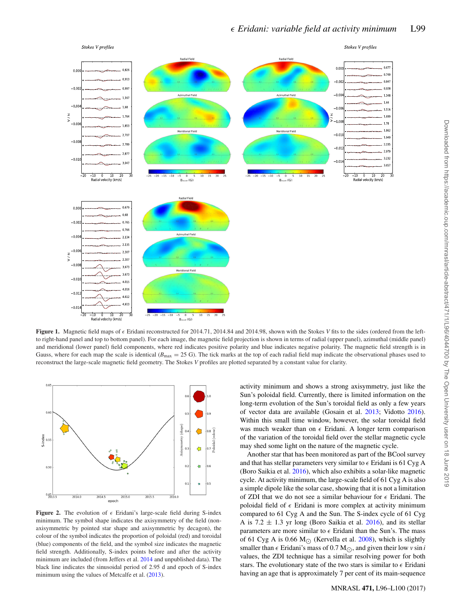<span id="page-4-0"></span>

**Figure 1.** Magnetic field maps of  $\epsilon$  Eridani reconstructed for 2014.71, 2014.84 and 2014.98, shown with the Stokes *V* fits to the sides (ordered from the leftto right-hand panel and top to bottom panel). For each image, the magnetic field projection is shown in terms of radial (upper panel), azimuthal (middle panel) and meridional (lower panel) field components, where red indicates positive polarity and blue indicates negative polarity. The magnetic field strength is in Gauss, where for each map the scale is identical ( $B_{\text{max}} = 25$  G). The tick marks at the top of each radial field map indicate the observational phases used to reconstruct the large-scale magnetic field geometry. The Stokes *V* profiles are plotted separated by a constant value for clarity.

<span id="page-4-1"></span>

**Figure 2.** The evolution of  $\epsilon$  Eridani's large-scale field during S-index minimum. The symbol shape indicates the axisymmetry of the field (nonaxisymmetric by pointed star shape and axisymmetric by decagon), the colour of the symbol indicates the proportion of poloidal (red) and toroidal (blue) components of the field, and the symbol size indicates the magnetic field strength. Additionally, S-index points before and after the activity minimum are included (from Jeffers et al. [2014](#page-5-3) and unpublished data). The black line indicates the sinusoidal period of 2.95 d and epoch of S-index minimum using the values of Metcalfe et al. [\(2013\)](#page-5-2).

activity minimum and shows a strong axisymmetry, just like the Sun's poloidal field. Currently, there is limited information on the long-term evolution of the Sun's toroidal field as only a few years of vector data are available (Gosain et al. [2013;](#page-5-19) Vidotto [2016\)](#page-5-20). Within this small time window, however, the solar toroidal field was much weaker than on  $\epsilon$  Eridani. A longer term comparison of the variation of the toroidal field over the stellar magnetic cycle may shed some light on the nature of the magnetic cycle.

Another star that has been monitored as part of the BCool survey and that has stellar parameters very similar to  $\epsilon$  Eridani is 61 Cyg A (Boro Saikia et al. [2016\)](#page-5-21), which also exhibits a solar-like magnetic cycle. At activity minimum, the large-scale field of 61 Cyg A is also a simple dipole like the solar case, showing that it is not a limitation of ZDI that we do not see a similar behaviour for  $\epsilon$  Eridani. The poloidal field of  $\epsilon$  Eridani is more comple[x](#page-5-18) at activity minimum compared to 61 Cyg A and the Sun. The S-index cycle of 61 Cyg A is  $7.2 \pm 1.3$  yr long (Boro Saikia et al. [2016\)](#page-5-21), and its stellar parameters are more similar to  $\epsilon$  Eridani than the Sun's. The mass of 61 Cyg A is 0.66 M<sub> $\odot$ </sub> (Kervella et al. [2008\)](#page-5-22), which is slightly smaller than  $\epsilon$  Eridani's mass of 0.7 M<sub>O</sub>, and given their low *v* sin *i* values, the ZDI technique has a similar resolving power for both stars. The evolutionary state of the two stars is similar to  $\epsilon$  Eridani having an age that is approximately 7 per cent of its main-sequence